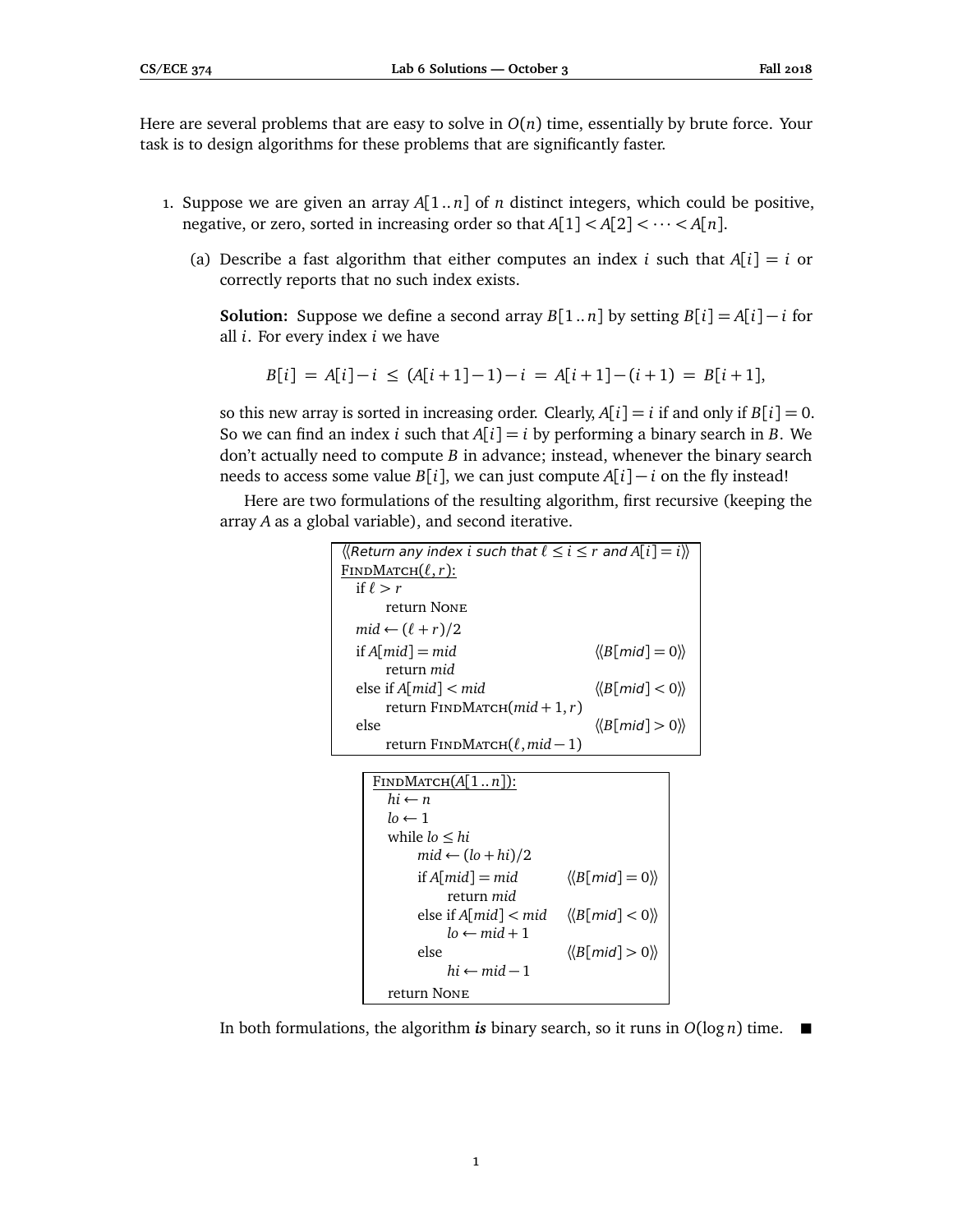Here are several problems that are easy to solve in  $O(n)$  time, essentially by brute force. Your task is to design algorithms for these problems that are significantly faster.

- 1. Suppose we are given an array  $A[1..n]$  of *n* distinct integers, which could be positive, negative, or zero, sorted in increasing order so that  $A[1] < A[2] < \cdots < A[n]$ .
	- (a) Describe a fast algorithm that either computes an index *i* such that  $A[i] = i$  or correctly reports that no such index exists.

**Solution:** Suppose we define a second array  $B[1..n]$  by setting  $B[i] = A[i] - i$  for all *i*. For every index *i* we have

$$
B[i] = A[i] - i \le (A[i+1]-1) - i = A[i+1] - (i+1) = B[i+1],
$$

so this new array is sorted in increasing order. Clearly,  $A[i] = i$  if and only if  $B[i] = 0$ . So we can find an index *i* such that  $A[i] = i$  by performing a binary search in *B*. We don't actually need to compute *B* in advance; instead, whenever the binary search needs to access some value  $B[i]$ , we can just compute  $A[i] - i$  on the fly instead!

Here are two formulations of the resulting algorithm, first recursive (keeping the array *A* as a global variable), and second iterative.

| $\langle$ Return any index i such that $\ell \leq i \leq r$ and $A[i] = i$ |                                                        |
|----------------------------------------------------------------------------|--------------------------------------------------------|
| FINDMATCH $(\ell, r)$ :                                                    |                                                        |
| if $\ell > r$                                                              |                                                        |
| return NONE                                                                |                                                        |
| $mid \leftarrow (\ell + r)/2$                                              |                                                        |
| if $A$ [mid] = mid                                                         | $\langle\langle B\lceil mid\rceil = 0 \rangle\rangle$  |
| return <i>mid</i>                                                          |                                                        |
| else if $A$ [mid] $\lt$ mid                                                | $\langle\langle B\mathsf{[mid]}<0\rangle\rangle$       |
| return $F$ INDMATCH $(mid + 1, r)$                                         |                                                        |
| else                                                                       | $\langle\langle B\lceil mid \rceil > 0 \rangle\rangle$ |
| return FINDMATCH $(\ell, mid-1)$                                           |                                                        |

```
FINDMATCH(A[1..n]):
 hi \leftarrow nlo \leftarrow 1while lo ≤ hi
       mid \leftarrow (lo + hi)/2if A[mid] = mid \langle \langle B[mid] = 0 \rangle \ranglereturn mid
       else if A[mid] < mid \langle \langle B[mid] < 0 \rangle \ranglelo \leftarrow mid + 1else \langle\langle B[mid] \rangle 0 \rangle\ranglehi \leftarrow mid - 1return None
```
In both formulations, the algorithm *is* binary search, so it runs in  $O(\log n)$  time.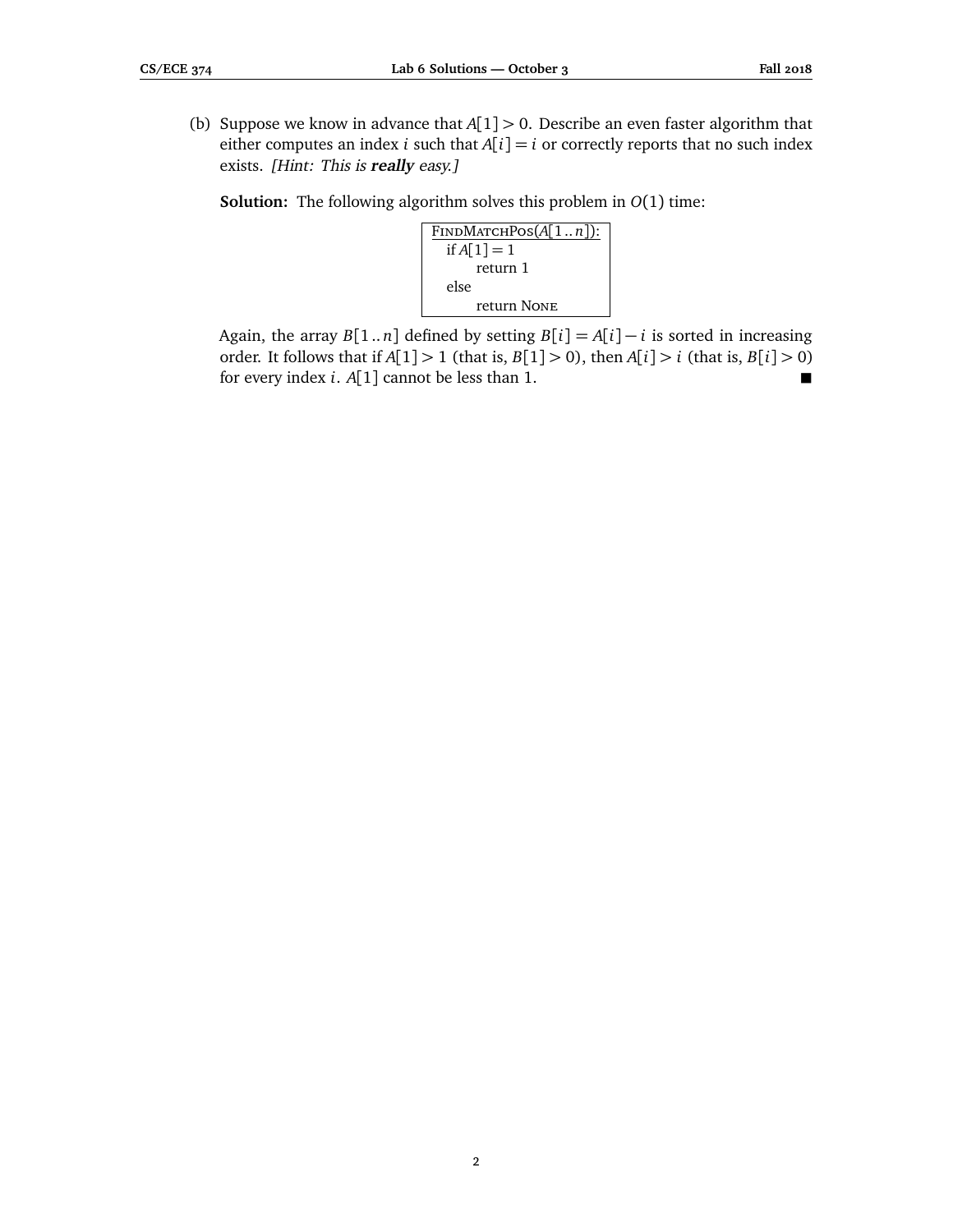(b) Suppose we know in advance that *A*[1] *>* 0. Describe an even faster algorithm that either computes an index *i* such that  $A[i] = i$  or correctly reports that no such index exists. [Hint: This is **really** easy.]

**Solution:** The following algorithm solves this problem in *O*(1) time:



Again, the array  $B[1..n]$  defined by setting  $B[i] = A[i] - i$  is sorted in increasing order. It follows that if  $A[1] > 1$  (that is,  $B[1] > 0$ ), then  $A[i] > i$  (that is,  $B[i] > 0$ ) for every index *i*. *A*[1] cannot be less than 1.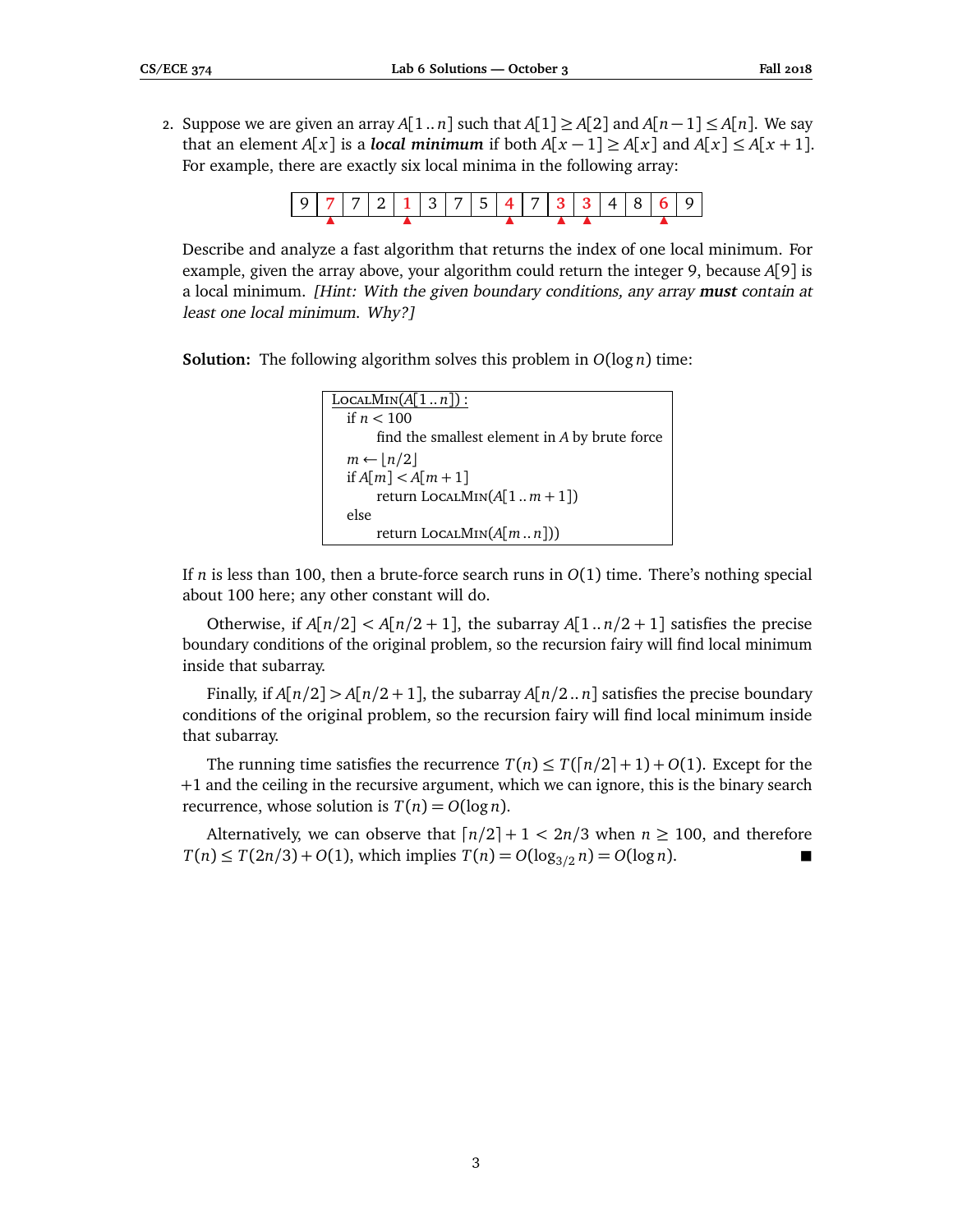2. Suppose we are given an array  $A[1..n]$  such that  $A[1] \ge A[2]$  and  $A[n-1] \le A[n]$ . We say that an element *A*[*x*] is a *local minimum* if both *A*[*x* − 1] ≥ *A*[*x*] and *A*[*x*] ≤ *A*[*x* + 1]. For example, there are exactly six local minima in the following array:



Describe and analyze a fast algorithm that returns the index of one local minimum. For example, given the array above, your algorithm could return the integer 9, because *A*[9] is a local minimum. [Hint: With the given boundary conditions, any array **must** contain at least one local minimum. Why?]

**Solution:** The following algorithm solves this problem in *O*(log *n*) time:

```
LocALMIN(A[1..n]):
if n < 100
    find the smallest element in A by brute force
m ← |n/2|
if A[m] < A[m + 1]
    return LocalMin(A[1 .. m + 1])
else
    return LocalMin(A[m .. n]))
```
If *n* is less than 100, then a brute-force search runs in *O*(1) time. There's nothing special about 100 here; any other constant will do.

Otherwise, if  $A[n/2] < A[n/2 + 1]$ , the subarray  $A[1..n/2 + 1]$  satisfies the precise boundary conditions of the original problem, so the recursion fairy will find local minimum inside that subarray.

Finally, if  $A[n/2] > A[n/2 + 1]$ , the subarray  $A[n/2..n]$  satisfies the precise boundary conditions of the original problem, so the recursion fairy will find local minimum inside that subarray.

The running time satisfies the recurrence  $T(n) \leq T(\lfloor n/2 \rfloor + 1) + O(1)$ . Except for the +1 and the ceiling in the recursive argument, which we can ignore, this is the binary search recurrence, whose solution is  $T(n) = O(\log n)$ .

Alternatively, we can observe that  $\lceil n/2 \rceil + 1 < 2n/3$  when  $n \ge 100$ , and therefore  $T(n) \leq T(2n/3) + O(1)$ , which implies  $T(n) = O(\log_{3/2} n) = O(\log n)$ .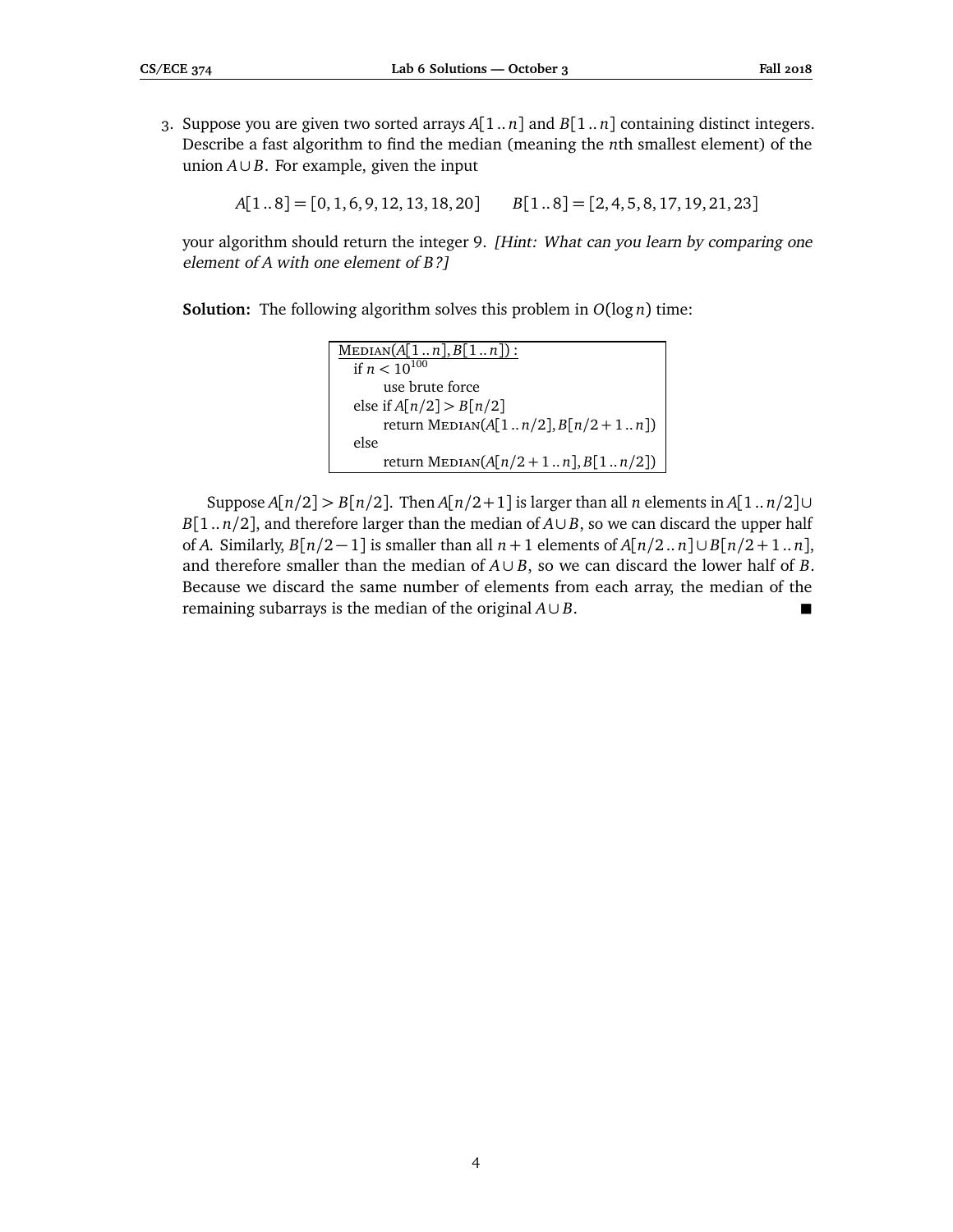3. Suppose you are given two sorted arrays *A*[1 .. *n*] and *B*[1 .. *n*] containing distinct integers. Describe a fast algorithm to find the median (meaning the *n*th smallest element) of the union *A*∪ *B*. For example, given the input

*A*[1 .. 8] = [0, 1, 6, 9, 12, 13, 18, 20] *B*[1 .. 8] = [2, 4, 5, 8, 17, 19, 21, 23]

your algorithm should return the integer 9. [Hint: What can you learn by comparing one element of *A* with one element of *B*?]

**Solution:** The following algorithm solves this problem in  $O(\log n)$  time:

| $MEDIAN(A[1n], B[1n])$ :              |
|---------------------------------------|
| if $n < 10^{100}$                     |
| use brute force                       |
| else if $A[n/2] > B[n/2]$             |
| return MEDIAN( $A[1n/2], B[n/2+1n]$ ) |
| else                                  |
| return MEDIAN( $A[n/2+1n], B[1n/2])$  |

Suppose *A*[*n/*2] *> B*[*n/*2]. Then *A*[*n/*2+1] is larger than all *n* elements in *A*[1 .. *n/*2]∪ *B*[1.. *n*/2], and therefore larger than the median of  $A ∪ B$ , so we can discard the upper half of *A*. Similarly,  $B[n/2-1]$  is smaller than all  $n+1$  elements of  $A[n/2..n] \cup B[n/2+1..n]$ , and therefore smaller than the median of  $A \cup B$ , so we can discard the lower half of *B*. Because we discard the same number of elements from each array, the median of the remaining subarrays is the median of the original  $A \cup B$ .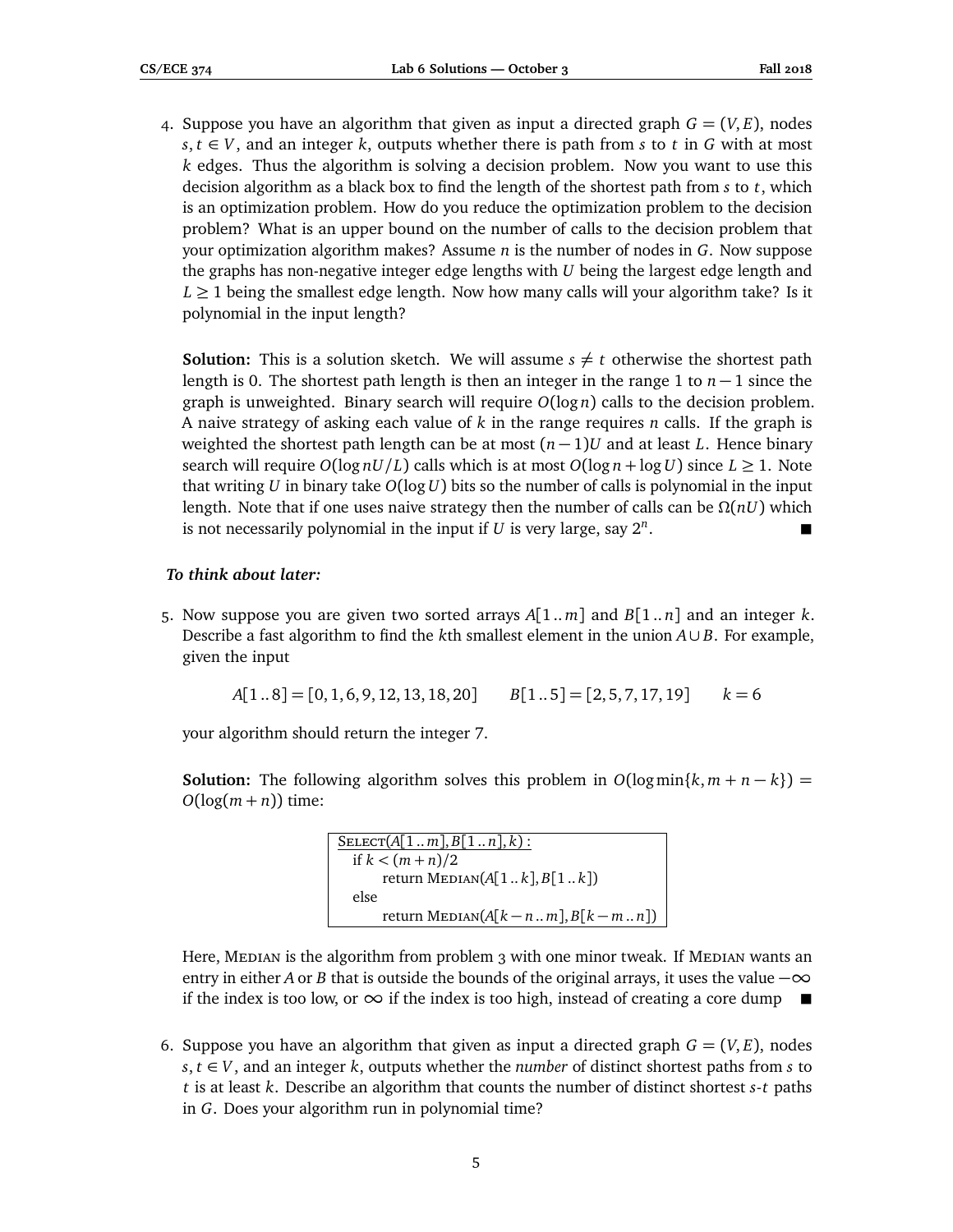4. Suppose you have an algorithm that given as input a directed graph  $G = (V, E)$ , nodes  $s, t \in V$ , and an integer  $k$ , outputs whether there is path from  $s$  to  $t$  in  $G$  with at most *k* edges. Thus the algorithm is solving a decision problem. Now you want to use this decision algorithm as a black box to find the length of the shortest path from *s* to *t*, which is an optimization problem. How do you reduce the optimization problem to the decision problem? What is an upper bound on the number of calls to the decision problem that your optimization algorithm makes? Assume *n* is the number of nodes in *G*. Now suppose the graphs has non-negative integer edge lengths with *U* being the largest edge length and  $L \geq 1$  being the smallest edge length. Now how many calls will your algorithm take? Is it polynomial in the input length?

**Solution:** This is a solution sketch. We will assume  $s \neq t$  otherwise the shortest path length is 0. The shortest path length is then an integer in the range 1 to *n* − 1 since the graph is unweighted. Binary search will require  $O(log n)$  calls to the decision problem. A naive strategy of asking each value of *k* in the range requires *n* calls. If the graph is weighted the shortest path length can be at most  $(n - 1)U$  and at least *L*. Hence binary search will require  $O(\log nU/L)$  calls which is at most  $O(\log n + \log U)$  since  $L \geq 1$ . Note that writing *U* in binary take *O*(log*U*) bits so the number of calls is polynomial in the input length. Note that if one uses naive strategy then the number of calls can be *Ω*(*nU*) which is not necessarily polynomial in the input if  $U$  is very large, say  $2^n$ .

## *To think about later:*

5. Now suppose you are given two sorted arrays *A*[1 .. *m*] and *B*[1 .. *n*] and an integer *k*. Describe a fast algorithm to find the *k*th smallest element in the union *A*∪ *B*. For example, given the input

*A*[1 .. 8] = [0, 1, 6, 9, 12, 13, 18, 20] *B*[1 .. 5] = [2, 5, 7, 17, 19] *k* = 6

your algorithm should return the integer 7.

**Solution:** The following algorithm solves this problem in  $O(log min\{k, m + n - k\}) =$  $O(log(m + n))$  time:

```
S \text{ELECT}(A[1..m], B[1..n], k):
if k < (m + n)/2
    return MEDIAN(A[1..k], B[1..k])else
    return MEDIAN(A[k - n..m], B[k - m..n])
```
Here, MEDIAN is the algorithm from problem 3 with one minor tweak. If MEDIAN wants an entry in either *A* or *B* that is outside the bounds of the original arrays, it uses the value  $-\infty$ if the index is too low, or  $\infty$  if the index is too high, instead of creating a core dump ■

6. Suppose you have an algorithm that given as input a directed graph  $G = (V, E)$ , nodes  $s, t \in V$ , and an integer *k*, outputs whether the *number* of distinct shortest paths from *s* to *t* is at least *k*. Describe an algorithm that counts the number of distinct shortest *s*-*t* paths in *G*. Does your algorithm run in polynomial time?